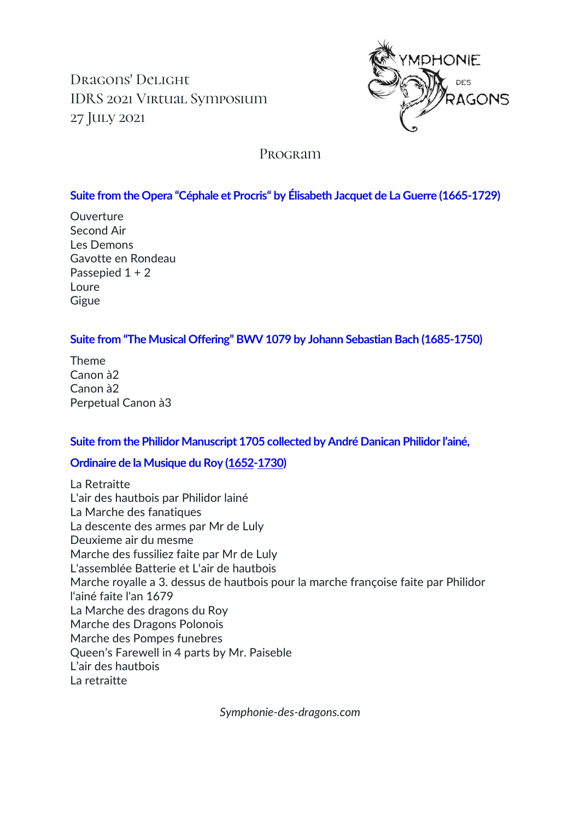Dragons' Delight IDRS 2021 Virtual Symposium 27 July 2021



# Program

## **Suite from the Opera "Céphale et Procris" by Élisabeth Jacquet de La Guerre (1665-1729)**

Ouverture Second Air Les Demons Gavotte en Rondeau Passepied 1 + 2 Loure **Gigue** 

### **Suite from "The Musical Offering" BWV 1079 by Johann Sebastian Bach (1685-1750)**

Theme Canon à2 Canon à2 Perpetual Canon à3

### **Suite from the Philidor Manuscript 1705 collected by André Danican Philidor l'ainé,**

### **Ordinaire de la Musique du Roy [\(1652](https://de.wikipedia.org/wiki/1652)[-1730\)](https://de.wikipedia.org/wiki/1730)**

La Retraitte L'air des hautbois par Philidor lainé La Marche des fanatiques La descente des armes par Mr de Luly Deuxieme air du mesme Marche des fussiliez faite par Mr de Luly L'assemblée Batterie et L'air de hautbois Marche royalle a 3. dessus de hautbois pour la marche françoise faite par Philidor l'ainé faite l'an 1679 La Marche des dragons du Roy Marche des Dragons Polonois Marche des Pompes funebres Queen's Farewell in 4 parts by Mr. Paiseble L'air des hautbois La retraitte

*Symphonie-des-dragons.com*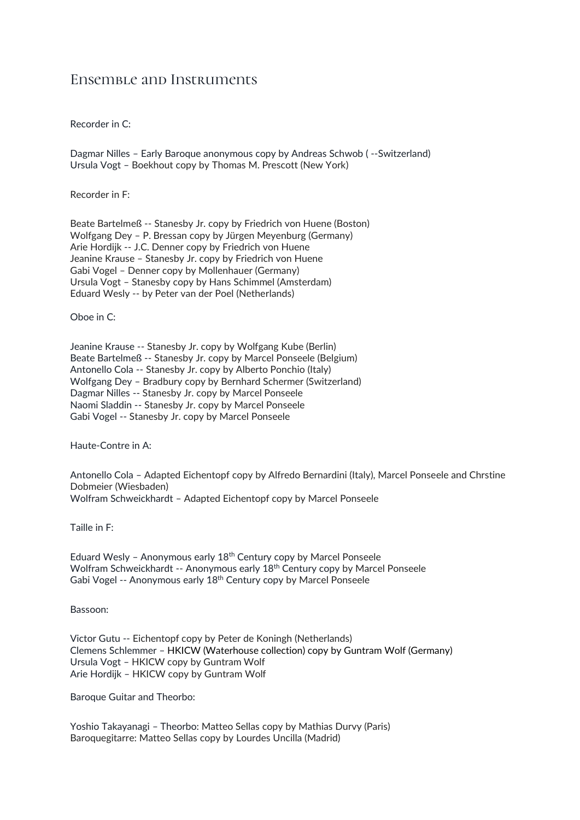# Ensemble and Instruments

Recorder in C:

Dagmar Nilles – Early Baroque anonymous copy by Andreas Schwob ( --Switzerland) Ursula Vogt – Boekhout copy by Thomas M. Prescott (New York)

Recorder in F:

Beate Bartelmeß -- Stanesby Jr. copy by Friedrich von Huene (Boston) Wolfgang Dey – P. Bressan copy by Jürgen Meyenburg (Germany) Arie Hordijk -- J.C. Denner copy by Friedrich von Huene Jeanine Krause – Stanesby Jr. copy by Friedrich von Huene Gabi Vogel – Denner copy by Mollenhauer (Germany) Ursula Vogt – Stanesby copy by Hans Schimmel (Amsterdam) Eduard Wesly -- by Peter van der Poel (Netherlands)

Oboe in C:

Jeanine Krause -- Stanesby Jr. copy by Wolfgang Kube (Berlin) Beate Bartelmeß -- Stanesby Jr. copy by Marcel Ponseele (Belgium) Antonello Cola -- Stanesby Jr. copy by Alberto Ponchio (Italy) Wolfgang Dey – Bradbury copy by Bernhard Schermer (Switzerland) Dagmar Nilles -- Stanesby Jr. copy by Marcel Ponseele Naomi Sladdin -- Stanesby Jr. copy by Marcel Ponseele Gabi Vogel -- Stanesby Jr. copy by Marcel Ponseele

Haute-Contre in A:

Antonello Cola – Adapted Eichentopf copy by Alfredo Bernardini (Italy), Marcel Ponseele and Chrstine Dobmeier (Wiesbaden) Wolfram Schweickhardt – Adapted Eichentopf copy by Marcel Ponseele

Taille in F:

Eduard Wesly - Anonymous early  $18<sup>th</sup>$  Century copy by Marcel Ponseele Wolfram Schweickhardt -- Anonymous early 18th Century copy by Marcel Ponseele Gabi Vogel -- Anonymous early 18<sup>th</sup> Century copy by Marcel Ponseele

Bassoon:

Victor Gutu -- Eichentopf copy by Peter de Koningh (Netherlands) Clemens Schlemmer – HKICW (Waterhouse collection) copy by Guntram Wolf (Germany) Ursula Vogt – HKICW copy by Guntram Wolf Arie Hordijk – HKICW copy by Guntram Wolf

Baroque Guitar and Theorbo:

Yoshio Takayanagi – Theorbo: Matteo Sellas copy by Mathias Durvy (Paris) Baroquegitarre: Matteo Sellas copy by Lourdes Uncilla (Madrid)